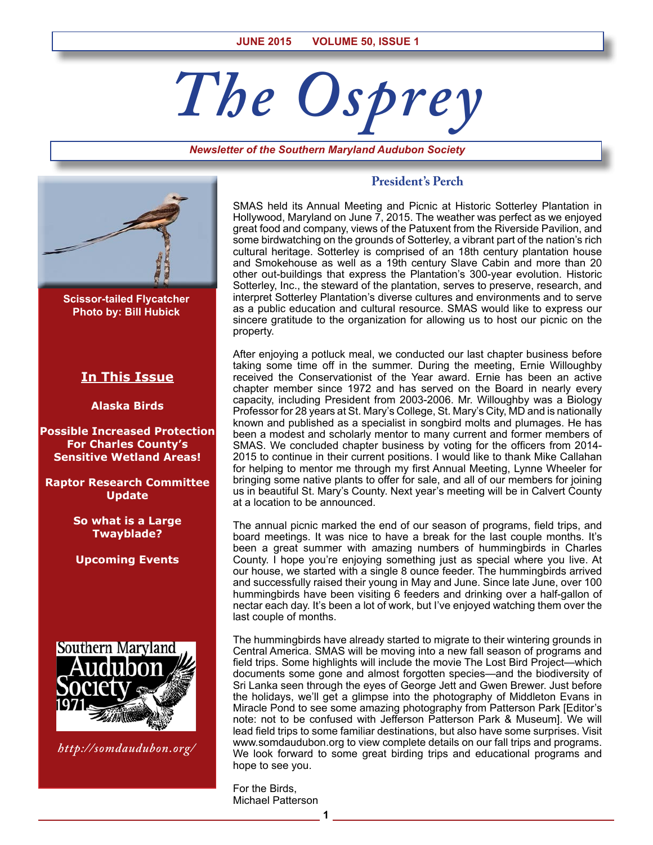# The Ospre

*Newsletter of the Southern Maryland Audubon Society*



**Scissor-tailed Flycatcher Photo by: Bill Hubick**

# **In This Issue**

**Alaska Birds**

**Possible Increased Protection For Charles County's Sensitive Wetland Areas!**

**Raptor Research Committee Update**

> **So what is a Large Twayblade?**

**Upcoming Events**



*http://somdaudubon.org/*

# **President's Perch**

SMAS held its Annual Meeting and Picnic at Historic Sotterley Plantation in Hollywood, Maryland on June 7, 2015. The weather was perfect as we enjoyed great food and company, views of the Patuxent from the Riverside Pavilion, and some birdwatching on the grounds of Sotterley, a vibrant part of the nation's rich cultural heritage. Sotterley is comprised of an 18th century plantation house and Smokehouse as well as a 19th century Slave Cabin and more than 20 other out-buildings that express the Plantation's 300-year evolution. Historic Sotterley, Inc., the steward of the plantation, serves to preserve, research, and interpret Sotterley Plantation's diverse cultures and environments and to serve as a public education and cultural resource. SMAS would like to express our sincere gratitude to the organization for allowing us to host our picnic on the property.

After enjoying a potluck meal, we conducted our last chapter business before taking some time off in the summer. During the meeting, Ernie Willoughby received the Conservationist of the Year award. Ernie has been an active chapter member since 1972 and has served on the Board in nearly every capacity, including President from 2003-2006. Mr. Willoughby was a Biology Professor for 28 years at St. Mary's College, St. Mary's City, MD and is nationally known and published as a specialist in songbird molts and plumages. He has been a modest and scholarly mentor to many current and former members of SMAS. We concluded chapter business by voting for the officers from 2014- 2015 to continue in their current positions. I would like to thank Mike Callahan for helping to mentor me through my first Annual Meeting, Lynne Wheeler for bringing some native plants to offer for sale, and all of our members for joining us in beautiful St. Mary's County. Next year's meeting will be in Calvert County at a location to be announced.

The annual picnic marked the end of our season of programs, field trips, and board meetings. It was nice to have a break for the last couple months. It's been a great summer with amazing numbers of hummingbirds in Charles County. I hope you're enjoying something just as special where you live. At our house, we started with a single 8 ounce feeder. The hummingbirds arrived and successfully raised their young in May and June. Since late June, over 100 hummingbirds have been visiting 6 feeders and drinking over a half-gallon of nectar each day. It's been a lot of work, but I've enjoyed watching them over the last couple of months.

The hummingbirds have already started to migrate to their wintering grounds in Central America. SMAS will be moving into a new fall season of programs and field trips. Some highlights will include the movie The Lost Bird Project—which documents some gone and almost forgotten species—and the biodiversity of Sri Lanka seen through the eyes of George Jett and Gwen Brewer. Just before the holidays, we'll get a glimpse into the photography of Middleton Evans in Miracle Pond to see some amazing photography from Patterson Park [Editor's note: not to be confused with Jefferson Patterson Park & Museum]. We will lead field trips to some familiar destinations, but also have some surprises. Visit www.somdaudubon.org to view complete details on our fall trips and programs. We look forward to some great birding trips and educational programs and hope to see you.

For the Birds, Michael Patterson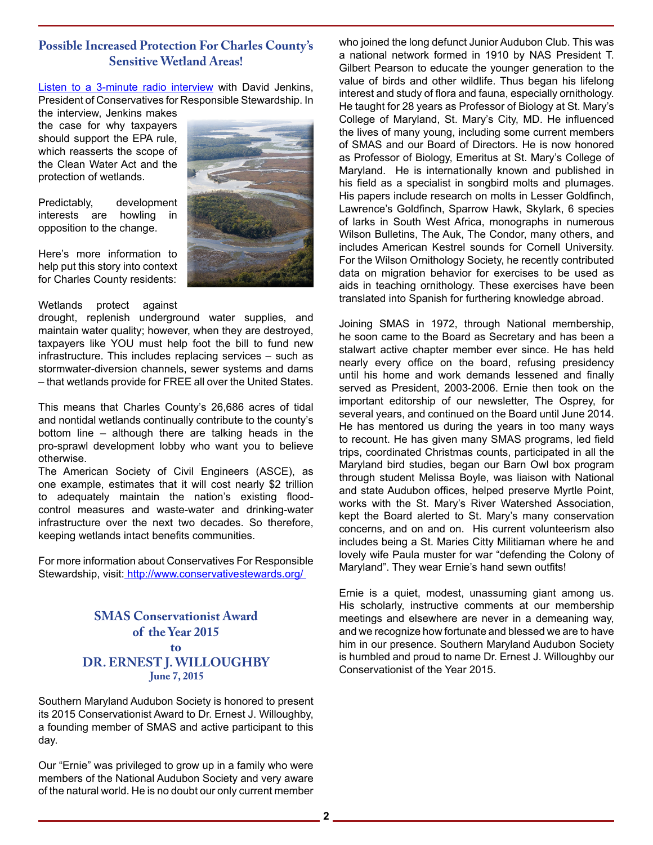# **Possible Increased Protection For Charles County's Sensitive Wetland Areas!**

[Listen to a 3-minute radio interview](https://soundcloud.com/wemakeitnews/a-new-rule-from-the-epa-could-mean-increased-protection-for-wetland-areas-in-charles-county) with David Jenkins, President of Conservatives for Responsible Stewardship. In

the interview, Jenkins makes the case for why taxpayers should support the EPA rule, which reasserts the scope of the Clean Water Act and the protection of wetlands.

Predictably, development interests are howling in opposition to the change.

Here's more information to help put this story into context for Charles County residents:

# Wetlands protect against

drought, replenish underground water supplies, and maintain water quality; however, when they are destroyed, taxpayers like YOU must help foot the bill to fund new infrastructure. This includes replacing services – such as stormwater-diversion channels, sewer systems and dams – that wetlands provide for FREE all over the United States.

This means that Charles County's 26,686 acres of tidal and nontidal wetlands continually contribute to the county's bottom line – although there are talking heads in the pro-sprawl development lobby who want you to believe otherwise.

The American Society of Civil Engineers (ASCE), as one example, estimates that it will cost nearly \$2 trillion to adequately maintain the nation's existing floodcontrol measures and waste-water and drinking-water infrastructure over the next two decades. So therefore, keeping wetlands intact benefits communities.

For more information about Conservatives For Responsible Stewardship, visit: http://www.conservativestewards.org/

# **SMAS Conservationist Award of the Year 2015 to DR. ERNEST J. WILLOUGHBY June 7, 2015**

Southern Maryland Audubon Society is honored to present its 2015 Conservationist Award to Dr. Ernest J. Willoughby, a founding member of SMAS and active participant to this day.

Our "Ernie" was privileged to grow up in a family who were members of the National Audubon Society and very aware of the natural world. He is no doubt our only current member

who joined the long defunct Junior Audubon Club. This was a national network formed in 1910 by NAS President T. Gilbert Pearson to educate the younger generation to the value of birds and other wildlife. Thus began his lifelong interest and study of flora and fauna, especially ornithology. He taught for 28 years as Professor of Biology at St. Mary's College of Maryland, St. Mary's City, MD. He influenced the lives of many young, including some current members of SMAS and our Board of Directors. He is now honored as Professor of Biology, Emeritus at St. Mary's College of Maryland. He is internationally known and published in his field as a specialist in songbird molts and plumages. His papers include research on molts in Lesser Goldfinch, Lawrence's Goldfinch, Sparrow Hawk, Skylark, 6 species of larks in South West Africa, monographs in numerous Wilson Bulletins, The Auk, The Condor, many others, and includes American Kestrel sounds for Cornell University. For the Wilson Ornithology Society, he recently contributed data on migration behavior for exercises to be used as aids in teaching ornithology. These exercises have been translated into Spanish for furthering knowledge abroad.

Joining SMAS in 1972, through National membership, he soon came to the Board as Secretary and has been a stalwart active chapter member ever since. He has held nearly every office on the board, refusing presidency until his home and work demands lessened and finally served as President, 2003-2006. Ernie then took on the important editorship of our newsletter, The Osprey, for several years, and continued on the Board until June 2014. He has mentored us during the years in too many ways to recount. He has given many SMAS programs, led field trips, coordinated Christmas counts, participated in all the Maryland bird studies, began our Barn Owl box program through student Melissa Boyle, was liaison with National and state Audubon offices, helped preserve Myrtle Point, works with the St. Mary's River Watershed Association, kept the Board alerted to St. Mary's many conservation concerns, and on and on. His current volunteerism also includes being a St. Maries Citty Militiaman where he and lovely wife Paula muster for war "defending the Colony of Maryland". They wear Ernie's hand sewn outfits!

Ernie is a quiet, modest, unassuming giant among us. His scholarly, instructive comments at our membership meetings and elsewhere are never in a demeaning way, and we recognize how fortunate and blessed we are to have him in our presence. Southern Maryland Audubon Society is humbled and proud to name Dr. Ernest J. Willoughby our Conservationist of the Year 2015.



**2**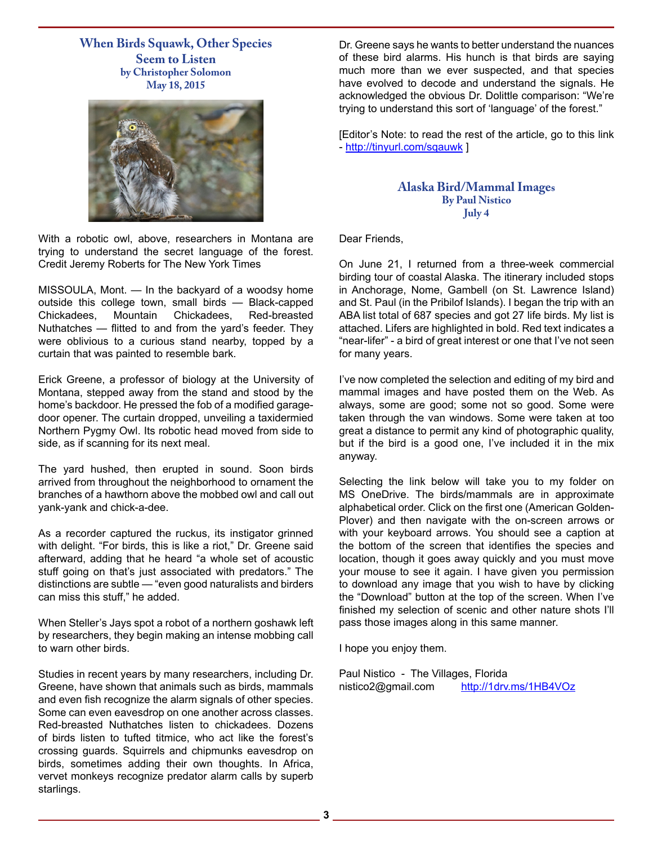**When Birds Squawk, Other Species Seem to Listen by Christopher Solomon May 18, 2015**



With a robotic owl, above, researchers in Montana are trying to understand the secret language of the forest. Credit Jeremy Roberts for The New York Times

MISSOULA, Mont. — In the backyard of a woodsy home outside this college town, small birds — Black-capped Chickadees, Mountain Chickadees, Red-breasted Nuthatches — flitted to and from the yard's feeder. They were oblivious to a curious stand nearby, topped by a curtain that was painted to resemble bark.

Erick Greene, a professor of biology at the University of Montana, stepped away from the stand and stood by the home's backdoor. He pressed the fob of a modified garagedoor opener. The curtain dropped, unveiling a taxidermied Northern Pygmy Owl. Its robotic head moved from side to side, as if scanning for its next meal.

The yard hushed, then erupted in sound. Soon birds arrived from throughout the neighborhood to ornament the branches of a hawthorn above the mobbed owl and call out yank-yank and chick-a-dee.

As a recorder captured the ruckus, its instigator grinned with delight. "For birds, this is like a riot," Dr. Greene said afterward, adding that he heard "a whole set of acoustic stuff going on that's just associated with predators." The distinctions are subtle — "even good naturalists and birders can miss this stuff," he added.

When Steller's Jays spot a robot of a northern goshawk left by researchers, they begin making an intense mobbing call to warn other birds.

Studies in recent years by many researchers, including Dr. Greene, have shown that animals such as birds, mammals and even fish recognize the alarm signals of other species. Some can even eavesdrop on one another across classes. Red-breasted Nuthatches listen to chickadees. Dozens of birds listen to tufted titmice, who act like the forest's crossing guards. Squirrels and chipmunks eavesdrop on birds, sometimes adding their own thoughts. In Africa, vervet monkeys recognize predator alarm calls by superb starlings.

Dr. Greene says he wants to better understand the nuances of these bird alarms. His hunch is that birds are saying much more than we ever suspected, and that species have evolved to decode and understand the signals. He acknowledged the obvious Dr. Dolittle comparison: "We're trying to understand this sort of 'language' of the forest."

[Editor's Note: to read the rest of the article, go to this link - http://tinyurl.com/sqauwk ]

# **Alaska Bird/Mammal Images By Paul Nistico July 4**

Dear Friends,

On June 21, I returned from a three-week commercial birding tour of coastal Alaska. The itinerary included stops in Anchorage, Nome, Gambell (on St. Lawrence Island) and St. Paul (in the Pribilof Islands). I began the trip with an ABA list total of 687 species and got 27 life birds. My list is attached. Lifers are highlighted in bold. Red text indicates a "near-lifer" - a bird of great interest or one that I've not seen for many years.

I've now completed the selection and editing of my bird and mammal images and have posted them on the Web. As always, some are good; some not so good. Some were taken through the van windows. Some were taken at too great a distance to permit any kind of photographic quality, but if the bird is a good one, I've included it in the mix anyway.

Selecting the link below will take you to my folder on MS OneDrive. The birds/mammals are in approximate alphabetical order. Click on the first one (American Golden-Plover) and then navigate with the on-screen arrows or with your keyboard arrows. You should see a caption at the bottom of the screen that identifies the species and location, though it goes away quickly and you must move your mouse to see it again. I have given you permission to download any image that you wish to have by clicking the "Download" button at the top of the screen. When I've finished my selection of scenic and other nature shots I'll pass those images along in this same manner.

I hope you enjoy them.

Paul Nistico - The Villages, Florida nistico2@gmail.com http://1drv.ms/1HB4VOz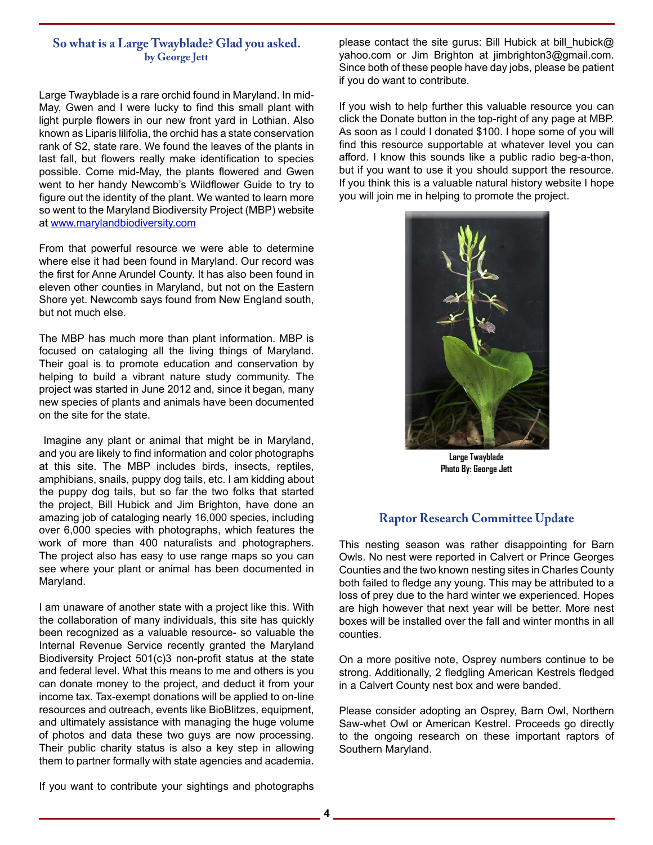# **So what is a Large Twayblade? Glad you asked. by George Jett**

Large Twayblade is a rare orchid found in Maryland. In mid-May, Gwen and I were lucky to find this small plant with light purple flowers in our new front yard in Lothian. Also known as Liparis lilifolia, the orchid has a state conservation rank of S2, state rare. We found the leaves of the plants in last fall, but flowers really make identification to species possible. Come mid-May, the plants flowered and Gwen went to her handy Newcomb's Wildflower Guide to try to figure out the identity of the plant. We wanted to learn more so went to the Maryland Biodiversity Project (MBP) website at www.marylandbiodiversity.com

From that powerful resource we were able to determine where else it had been found in Maryland. Our record was the first for Anne Arundel County. It has also been found in eleven other counties in Maryland, but not on the Eastern Shore yet. Newcomb says found from New England south, but not much else.

The MBP has much more than plant information. MBP is focused on cataloging all the living things of Maryland. Their goal is to promote education and conservation by helping to build a vibrant nature study community. The project was started in June 2012 and, since it began, many new species of plants and animals have been documented on the site for the state.

 Imagine any plant or animal that might be in Maryland, and you are likely to find information and color photographs at this site. The MBP includes birds, insects, reptiles, amphibians, snails, puppy dog tails, etc. I am kidding about the puppy dog tails, but so far the two folks that started the project, Bill Hubick and Jim Brighton, have done an amazing job of cataloging nearly 16,000 species, including over 6,000 species with photographs, which features the work of more than 400 naturalists and photographers. The project also has easy to use range maps so you can see where your plant or animal has been documented in Maryland.

I am unaware of another state with a project like this. With the collaboration of many individuals, this site has quickly been recognized as a valuable resource- so valuable the Internal Revenue Service recently granted the Maryland Biodiversity Project 501(c)3 non-profit status at the state and federal level. What this means to me and others is you can donate money to the project, and deduct it from your income tax. Tax-exempt donations will be applied to on-line resources and outreach, events like BioBlitzes, equipment, and ultimately assistance with managing the huge volume of photos and data these two guys are now processing. Their public charity status is also a key step in allowing them to partner formally with state agencies and academia.

If you want to contribute your sightings and photographs

please contact the site gurus: Bill Hubick at bill hubick@ yahoo.com or Jim Brighton at jimbrighton3@gmail.com. Since both of these people have day jobs, please be patient if you do want to contribute.

If you wish to help further this valuable resource you can click the Donate button in the top-right of any page at MBP. As soon as I could I donated \$100. I hope some of you will find this resource supportable at whatever level you can afford. I know this sounds like a public radio beg-a-thon, but if you want to use it you should support the resource. If you think this is a valuable natural history website I hope you will join me in helping to promote the project.



**Large Twayblade Photo By: George Jett**

# **Raptor Research Committee Update**

This nesting season was rather disappointing for Barn Owls. No nest were reported in Calvert or Prince Georges Counties and the two known nesting sites in Charles County both failed to fledge any young. This may be attributed to a loss of prey due to the hard winter we experienced. Hopes are high however that next year will be better. More nest boxes will be installed over the fall and winter months in all counties.

On a more positive note, Osprey numbers continue to be strong. Additionally, 2 fledgling American Kestrels fledged in a Calvert County nest box and were banded.

Please consider adopting an Osprey, Barn Owl, Northern Saw-whet Owl or American Kestrel. Proceeds go directly to the ongoing research on these important raptors of Southern Maryland.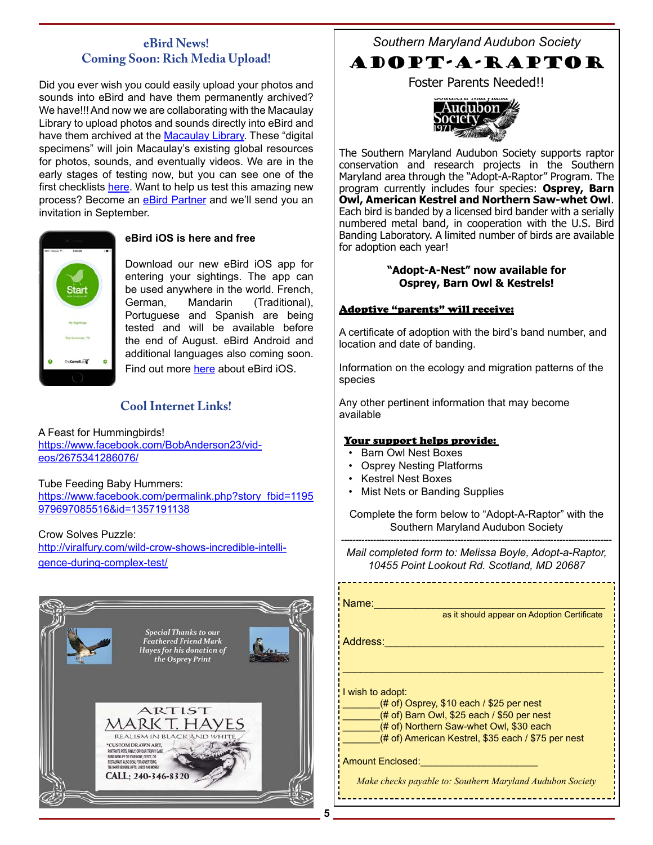# **eBird News! Coming Soon: Rich Media Upload!**

Did you ever wish you could easily upload your photos and sounds into eBird and have them permanently archived? We have!!! And now we are collaborating with the Macaulay Library to upload photos and sounds directly into eBird and have them archived at the [Macaulay Library](http://macaulaylibrary.org/). These "digital specimens" will join Macaulay's existing global resources for photos, sounds, and eventually videos. We are in the early stages of testing now, but you can see one of the first checklists [here](http://ebird.org/ebird/view/checklist?subID=S16059237). Want to help us test this amazing new process? Become an **[eBird Partner](https://join.birds.cornell.edu/ea-action/action?ea.client.id=1806&ea.campaign.id=39939&ea.tracking.id=ENE)** and we'll send you an invitation in September.



# **eBird iOS is here and free**

Download our new eBird iOS app for entering your sightings. The app can be used anywhere in the world. French, German, Mandarin (Traditional), Portuguese and Spanish are being tested and will be available before the end of August. eBird Android and additional languages also coming soon. Find out more [here](http://ebird.org/content/ebird/news/ebird_mobile_ios1/) about eBird iOS.

# **Cool Internet Links!**

A Feast for Hummingbirds! https://www.facebook.com/BobAnderson23/videos/2675341286076/

Tube Feeding Baby Hummers: https://www.facebook.com/permalink.php?story\_fbid=1195 979697085516&id=1357191138

Crow Solves Puzzle: http://viralfury.com/wild-crow-shows-incredible-intelligence-during-complex-test/



*Southern Maryland Audubon Society*

# ADOPT-A-RAPTOR

Foster Parents Needed!!



The Southern Maryland Audubon Society supports raptor conservation and research projects in the Southern Maryland area through the "Adopt-A-Raptor" Program. The program currently includes four species: **Osprey, Barn Owl, American Kestrel and Northern Saw-whet Owl**. Each bird is banded by a licensed bird bander with a serially numbered metal band, in cooperation with the U.S. Bird Banding Laboratory. A limited number of birds are available for adoption each year!

# **"Adopt-A-Nest" now available for Osprey, Barn Owl & Kestrels!**

# Adoptive "parents" will receive:

A certificate of adoption with the bird's band number, and location and date of banding.

Information on the ecology and migration patterns of the species

Any other pertinent information that may become available

# Your support helps provide:

- Barn Owl Nest Boxes
- Osprey Nesting Platforms
- Kestrel Nest Boxes
- Mist Nets or Banding Supplies

Complete the form below to "Adopt-A-Raptor" with the Southern Maryland Audubon Society

--------------------------------------------------------------------------------------------- *Mail completed form to: Melissa Boyle, Adopt-a-Raptor, 10455 Point Lookout Rd. Scotland, MD 20687*

Name:\_\_\_\_\_\_\_\_\_\_\_\_\_\_\_\_\_\_\_\_\_\_\_\_\_\_\_\_\_\_\_\_\_\_\_\_\_\_\_

as it should appear on Adoption Certificate

Address:

I wish to adopt:

 $(# of)$  Osprey, \$10 each / \$25 per nest

(# of) Barn Owl, \$25 each / \$50 per nest

(# of) Northern Saw-whet Owl, \$30 each

(# of) American Kestrel, \$35 each / \$75 per nest

\_\_\_\_\_\_\_\_\_\_\_\_\_\_\_\_\_\_\_\_\_\_\_\_\_\_\_\_\_\_\_\_\_\_\_\_\_\_\_\_\_\_\_\_

Amount Enclosed:

*Make checks payable to: Southern Maryland Audubon Society*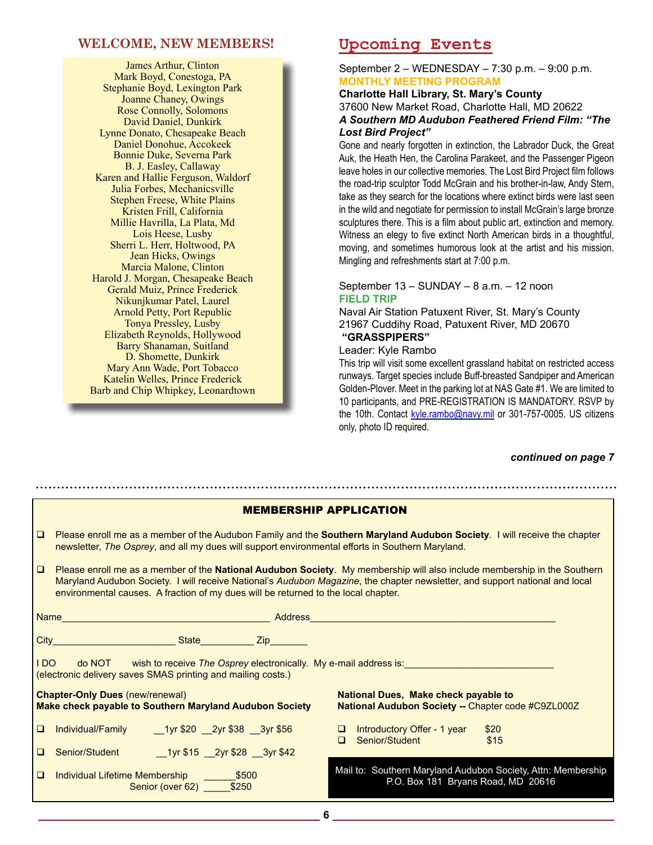# **WELCOME, NEW MEMBERS!**

James Arthur, Clinton Mark Boyd, Conestoga, PA Stephanie Boyd, Lexington Park Joanne Chaney, Owings Rose Connolly, Solomons David Daniel, Dunkirk Lynne Donato, Chesapeake Beach Daniel Donohue, Accokeek Bonnie Duke, Severna Park B. J. Easley, Callaway Karen and Hallie Ferguson, Waldorf Julia Forbes, Mechanicsville Stephen Freese, White Plains Kristen Frill, California Millie Havrilla, La Plata, Md Lois Heese, Lusby Sherri L. Herr, Holtwood, PA Jean Hicks, Owings Marcia Malone, Clinton Harold J. Morgan, Chesapeake Beach Gerald Muiz, Prince Frederick Nikunjkumar Patel, Laurel Arnold Petty, Port Republic Tonya Pressley, Lusby Elizabeth Reynolds, Hollywood Barry Shanaman, Suitland D. Shomette, Dunkirk Mary Ann Wade, Port Tobacco Katelin Welles, Prince Frederick Barb and Chip Whipkey, Leonardtown

# **Upcoming Events**

### September 2 – WEDNESDAY – 7:30 p.m. – 9:00 p.m. **MONTHLY MEETING PROGRAM**

# **Charlotte Hall Library, St. Mary's County** 37600 New Market Road, Charlotte Hall, MD 20622 *A Southern MD Audubon Feathered Friend Film: "The Lost Bird Project"*

Gone and nearly forgotten in extinction, the Labrador Duck, the Great Auk, the Heath Hen, the Carolina Parakeet, and the Passenger Pigeon leave holes in our collective memories. The Lost Bird Project film follows the road-trip sculptor Todd McGrain and his brother-in-law, Andy Stern, take as they search for the locations where extinct birds were last seen in the wild and negotiate for permission to install McGrain's large bronze sculptures there. This is a film about public art, extinction and memory. Witness an elegy to five extinct North American birds in a thoughtful, moving, and sometimes humorous look at the artist and his mission. Mingling and refreshments start at 7:00 p.m.

# September 13 – SUNDAY – 8 a.m. – 12 noon **FIELD TRIP**

Naval Air Station Patuxent River, St. Mary's County 21967 Cuddihy Road, Patuxent River, MD 20670 **"GRASSPIPERS"**

# Leader: Kyle Rambo

This trip will visit some excellent grassland habitat on restricted access runways. Target species include Buff-breasted Sandpiper and American Golden-Plover. Meet in the parking lot at NAS Gate #1. We are limited to 10 participants, and PRE-REGISTRATION IS MANDATORY. RSVP by the 10th. Contact kyle.rambo@navy.mil or 301-757-0005. US citizens only, photo ID required.

# *continued on page 7*

| <b>MEMBERSHIP APPLICATION</b>                                                                                                                                                                                                                                                                                                                            |                                                                                                                                                                                                                              |                                                                                                               |
|----------------------------------------------------------------------------------------------------------------------------------------------------------------------------------------------------------------------------------------------------------------------------------------------------------------------------------------------------------|------------------------------------------------------------------------------------------------------------------------------------------------------------------------------------------------------------------------------|---------------------------------------------------------------------------------------------------------------|
| $\Box$                                                                                                                                                                                                                                                                                                                                                   | Please enroll me as a member of the Audubon Family and the Southern Maryland Audubon Society. I will receive the chapter<br>newsletter, The Osprey, and all my dues will support environmental efforts in Southern Maryland. |                                                                                                               |
| $\Box$<br>Please enroll me as a member of the National Audubon Society. My membership will also include membership in the Southern<br>Maryland Audubon Society. I will receive National's Audubon Magazine, the chapter newsletter, and support national and local<br>environmental causes. A fraction of my dues will be returned to the local chapter. |                                                                                                                                                                                                                              |                                                                                                               |
|                                                                                                                                                                                                                                                                                                                                                          | Name and the second contract of the second contract of the second contract of the second contract of the second                                                                                                              |                                                                                                               |
|                                                                                                                                                                                                                                                                                                                                                          |                                                                                                                                                                                                                              |                                                                                                               |
| I DO I<br>do NOT wish to receive The Osprey electronically. My e-mail address is:<br>(electronic delivery saves SMAS printing and mailing costs.)                                                                                                                                                                                                        |                                                                                                                                                                                                                              |                                                                                                               |
| <b>Chapter-Only Dues (new/renewal)</b><br>Make check payable to Southern Maryland Audubon Society                                                                                                                                                                                                                                                        |                                                                                                                                                                                                                              | National Dues, Make check payable to<br>National Audubon Society -- Chapter code #C9ZL000Z                    |
| $\Box$                                                                                                                                                                                                                                                                                                                                                   | Individual/Family<br><u>___1yr \$20 __2yr \$38 __3yr \$56</u>                                                                                                                                                                | <b>Example 1 Designal Designation Introductory Offer - 1 year</b><br>\$20<br>Senior/Student<br>\$15<br>$\Box$ |
| $\Box$                                                                                                                                                                                                                                                                                                                                                   |                                                                                                                                                                                                                              |                                                                                                               |
| $\Box$                                                                                                                                                                                                                                                                                                                                                   | Senior (over 62) \$250                                                                                                                                                                                                       | Mail to: Southern Maryland Audubon Society, Attn: Membership<br>P.O. Box 181 Bryans Road, MD 20616            |

**6**